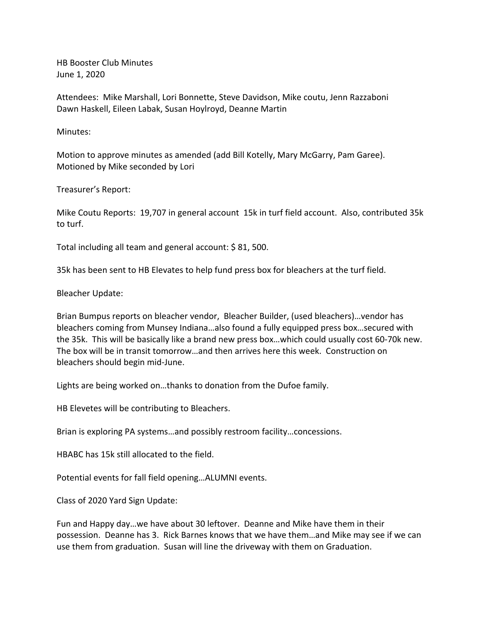HB Booster Club Minutes June 1, 2020

Attendees: Mike Marshall, Lori Bonnette, Steve Davidson, Mike coutu, Jenn Razzaboni Dawn Haskell, Eileen Labak, Susan Hoylroyd, Deanne Martin

Minutes:

Motion to approve minutes as amended (add Bill Kotelly, Mary McGarry, Pam Garee). Motioned by Mike seconded by Lori

Treasurer's Report:

Mike Coutu Reports: 19,707 in general account 15k in turf field account. Also, contributed 35k to turf.

Total including all team and general account: \$ 81, 500.

35k has been sent to HB Elevates to help fund press box for bleachers at the turf field.

Bleacher Update:

Brian Bumpus reports on bleacher vendor, Bleacher Builder, (used bleachers)…vendor has bleachers coming from Munsey Indiana…also found a fully equipped press box…secured with the 35k. This will be basically like a brand new press box…which could usually cost 60-70k new. The box will be in transit tomorrow…and then arrives here this week. Construction on bleachers should begin mid-June.

Lights are being worked on…thanks to donation from the Dufoe family.

HB Elevetes will be contributing to Bleachers.

Brian is exploring PA systems…and possibly restroom facility…concessions.

HBABC has 15k still allocated to the field.

Potential events for fall field opening…ALUMNI events.

Class of 2020 Yard Sign Update:

Fun and Happy day…we have about 30 leftover. Deanne and Mike have them in their possession. Deanne has 3. Rick Barnes knows that we have them…and Mike may see if we can use them from graduation. Susan will line the driveway with them on Graduation.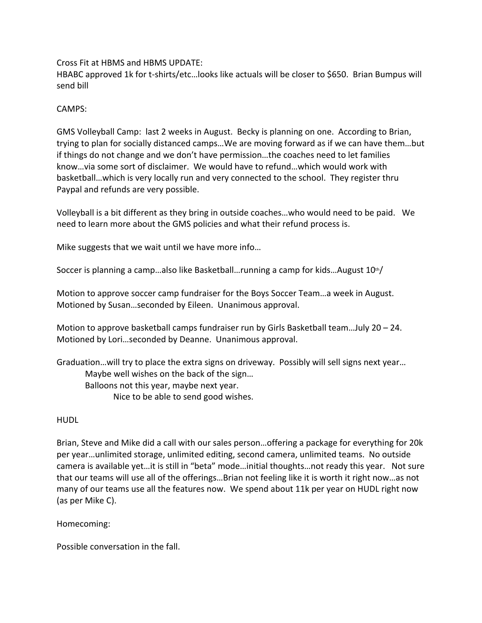Cross Fit at HBMS and HBMS UPDATE:

HBABC approved 1k for t-shirts/etc…looks like actuals will be closer to \$650. Brian Bumpus will send bill

## CAMPS:

GMS Volleyball Camp: last 2 weeks in August. Becky is planning on one. According to Brian, trying to plan for socially distanced camps…We are moving forward as if we can have them…but if things do not change and we don't have permission…the coaches need to let families know…via some sort of disclaimer. We would have to refund…which would work with basketball…which is very locally run and very connected to the school. They register thru Paypal and refunds are very possible.

Volleyball is a bit different as they bring in outside coaches…who would need to be paid. We need to learn more about the GMS policies and what their refund process is.

Mike suggests that we wait until we have more info…

Soccer is planning a camp...also like Basketball...running a camp for kids...August  $10<sup>th</sup>/$ 

Motion to approve soccer camp fundraiser for the Boys Soccer Team…a week in August. Motioned by Susan…seconded by Eileen. Unanimous approval.

Motion to approve basketball camps fundraiser run by Girls Basketball team...July  $20 - 24$ . Motioned by Lori…seconded by Deanne. Unanimous approval.

Graduation…will try to place the extra signs on driveway. Possibly will sell signs next year… Maybe well wishes on the back of the sign… Balloons not this year, maybe next year. Nice to be able to send good wishes.

## HUDL

Brian, Steve and Mike did a call with our sales person…offering a package for everything for 20k per year…unlimited storage, unlimited editing, second camera, unlimited teams. No outside camera is available yet…it is still in "beta" mode…initial thoughts…not ready this year. Not sure that our teams will use all of the offerings…Brian not feeling like it is worth it right now…as not many of our teams use all the features now. We spend about 11k per year on HUDL right now (as per Mike C).

Homecoming:

Possible conversation in the fall.